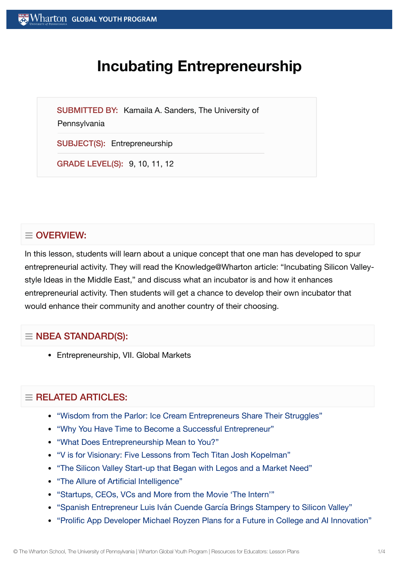# **Incubating Entrepreneurship**

SUBMITTED BY: Kamaila A. Sanders, The University of

#### **Pennsylvania**

SUBJECT(S): Entrepreneurship

GRADE LEVEL(S): 9, 10, 11, 12

# $\equiv$  OVERVIEW:

In this lesson, students will learn about a unique concept that one man has developed to spur entrepreneurial activity. They will read the Knowledge@Wharton article: "Incubating Silicon Valleystyle Ideas in the Middle East," and discuss what an incubator is and how it enhances entrepreneurial activity. Then students will get a chance to develop their own incubator that would enhance their community and another country of their choosing.

# $\equiv$  NBEA STANDARD(S):

Entrepreneurship, VII. Global Markets

# $=$  RELATED ARTICLES:

- "Wisdom from the Parlor: Ice Cream [Entrepreneurs Share](https://globalyouth.wharton.upenn.edu/articles/wisdom-from-the-parlor-ice-cream-entrepreneurs-share-their-struggles/) Their Struggles"
- "Why You Have Time to Become a Successful [Entrepreneur"](https://globalyouth.wharton.upenn.edu/articles/time-become-successful-entrepreneur/)
- "What [Does Entrepreneurship](https://globalyouth.wharton.upenn.edu/articles/entrepreneurship-means-to-you/) Mean to You?"
- "V is for Visionary: Five [Lessons from](https://globalyouth.wharton.upenn.edu/articles/v-is-for-visionary-five-lessons-from-tech-titan-josh-kopelman/) Tech Titan Josh Kopelman"
- "The Silicon [Valley Start-up](https://globalyouth.wharton.upenn.edu/articles/start-up-began-with-legos/) that Began with Legos and a Market Need"
- "The Allure of Artificial [Intelligence"](https://globalyouth.wharton.upenn.edu/articles/allure-artificial-intelligence/)
- ["Startups,](https://globalyouth.wharton.upenn.edu/articles/what-the-movie-the-intern-teaches-us-about-business/) CEOs, VCs and More from the Movie 'The Intern'"
- "Spanish Entrepreneur Luis Iván Cuende García [Brings Stampery to](https://globalyouth.wharton.upenn.edu/articles/spanish-entrepreneur-luis-ivan-cuende-brings-stampery-to-silicon-valley/) Silicon Valley"
- "Prolific App Developer Michael Royzen Plans for a Future in College and AI [Innovation"](https://globalyouth.wharton.upenn.edu/articles/prolific-app-developer-michael-royzen-plans-for-a-future-in-college-and-ai-innovation/)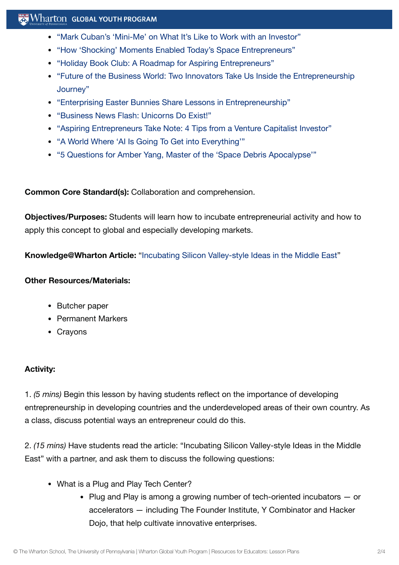## $\mathbb{R}$  Wharton Global Youth Program

- "Mark [Cuban's 'Mini-Me'](https://globalyouth.wharton.upenn.edu/articles/mark-cuban-mini-me-on-work-with-an-investor/) on What It's Like to Work with an Investor"
- "How 'Shocking' [Moments Enabled](https://globalyouth.wharton.upenn.edu/articles/shocking-moments-enabled-todays-entrepreneurs/) Today's Space Entrepreneurs"
- "Holiday Book Club: A Roadmap for Aspiring [Entrepreneurs"](https://globalyouth.wharton.upenn.edu/articles/holiday-book-club-roadmap-aspiring-entrepreneurs/)
- "Future of the Business World: Two Innovators Take Us Inside the [Entrepreneurship](https://globalyouth.wharton.upenn.edu/articles/two-innovators-inside-entrepreneurship-journey/) Journey"
- "Enterprising Easter Bunnies Share Lessons in [Entrepreneurship"](https://globalyouth.wharton.upenn.edu/articles/enterprising-easter-bunnies/)
- ["Business News Flash:](https://globalyouth.wharton.upenn.edu/articles/business-news-flash-unicorns-exist/) Unicorns Do Exist!"
- "Aspiring [Entrepreneurs Take](https://globalyouth.wharton.upenn.edu/articles/aspiring-entrepreneurs-take-note-4-tips-venture-capitalist-investor/) Note: 4 Tips from a Venture Capitalist Investor"
- "A World Where 'AI Is Going To Get into [Everything'"](https://globalyouth.wharton.upenn.edu/articles/teen-app-developer-embraces-world-ai-going-get-everything/)
- "5 Questions for Amber Yang, Master of the 'Space [Debris Apocalypse'"](https://globalyouth.wharton.upenn.edu/articles/5-questions-amber-yang-master-space-debris-apocalypse/)

**Common Core Standard(s):** Collaboration and comprehension.

**Objectives/Purposes:** Students will learn how to incubate entrepreneurial activity and how to apply this concept to global and especially developing markets.

**Knowledge@Wharton Article:** "Incubating Silicon [Valley-style](http://knowledge.wharton.upenn.edu/arabic/article.cfm?articleid=2578) Ideas in the Middle East"

#### **Other Resources/Materials:**

- Butcher paper
- Permanent Markers
- Crayons

### **Activity:**

1. *(5 mins)* Begin this lesson by having students reflect on the importance of developing entrepreneurship in developing countries and the underdeveloped areas of their own country. As a class, discuss potential ways an entrepreneur could do this.

2. *(15 mins)* Have students read the article: "Incubating Silicon Valley-style Ideas in the Middle East" with a partner, and ask them to discuss the following questions:

- What is a Plug and Play Tech Center?
	- Plug and Play is among a growing number of tech-oriented incubators  $-$  or accelerators — including The Founder Institute, Y Combinator and Hacker Dojo, that help cultivate innovative enterprises.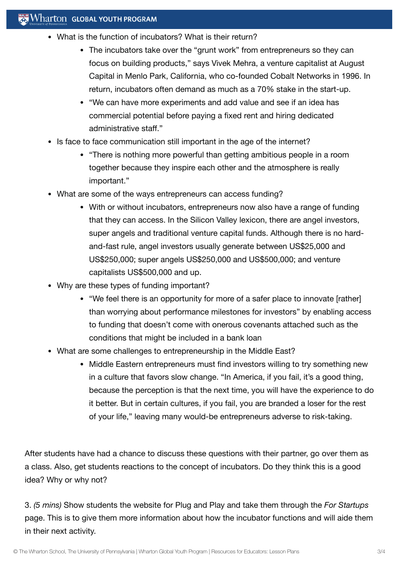- What is the function of incubators? What is their return?
	- The incubators take over the "grunt work" from entrepreneurs so they can focus on building products," says Vivek Mehra, a venture capitalist at August Capital in Menlo Park, California, who co-founded Cobalt Networks in 1996. In return, incubators often demand as much as a 70% stake in the start-up.
	- "We can have more experiments and add value and see if an idea has commercial potential before paying a fixed rent and hiring dedicated administrative staff."
- Is face to face communication still important in the age of the internet?
	- "There is nothing more powerful than getting ambitious people in a room together because they inspire each other and the atmosphere is really important."
- What are some of the ways entrepreneurs can access funding?
	- With or without incubators, entrepreneurs now also have a range of funding that they can access. In the Silicon Valley lexicon, there are angel investors, super angels and traditional venture capital funds. Although there is no hardand-fast rule, angel investors usually generate between US\$25,000 and US\$250,000; super angels US\$250,000 and US\$500,000; and venture capitalists US\$500,000 and up.
- Why are these types of funding important?
	- "We feel there is an opportunity for more of a safer place to innovate [rather] than worrying about performance milestones for investors" by enabling access to funding that doesn't come with onerous covenants attached such as the conditions that might be included in a bank loan
- What are some challenges to entrepreneurship in the Middle East?
	- Middle Eastern entrepreneurs must find investors willing to try something new in a culture that favors slow change. "In America, if you fail, it's a good thing, because the perception is that the next time, you will have the experience to do it better. But in certain cultures, if you fail, you are branded a loser for the rest of your life," leaving many would-be entrepreneurs adverse to risk-taking.

After students have had a chance to discuss these questions with their partner, go over them as a class. Also, get students reactions to the concept of incubators. Do they think this is a good idea? Why or why not?

3. *(5 mins)* Show students the website for Plug and Play and take them through the *For Startups* page. This is to give them more information about how the incubator functions and will aide them in their next activity.